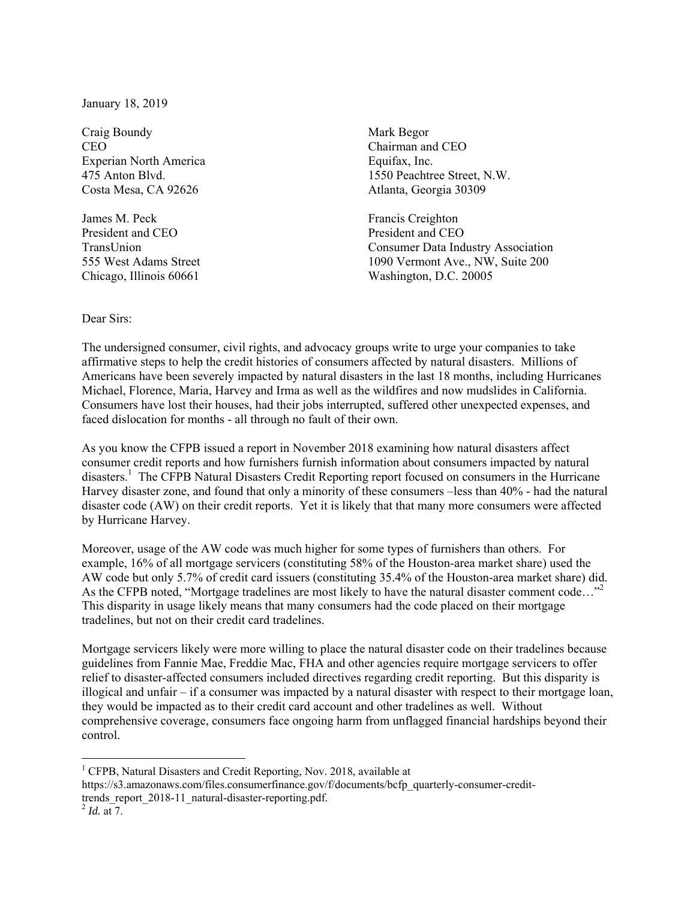January 18, 2019

Craig Boundy Mark Begor CEO CHAIRMAN CHAIRMAN CHAIRMAN CHO CHAIRMAN CHO Experian North America Equifax, Inc. Costa Mesa, CA 92626 Atlanta, Georgia 30309

James M. Peck Francis Creighton President and CEO President and CEO

475 Anton Blvd. 1550 Peachtree Street, N.W.

TransUnion Consumer Data Industry Association 555 West Adams Street 1090 Vermont Ave., NW, Suite 200 Chicago, Illinois 60661 Washington, D.C. 20005

## Dear Sirs:

The undersigned consumer, civil rights, and advocacy groups write to urge your companies to take affirmative steps to help the credit histories of consumers affected by natural disasters. Millions of Americans have been severely impacted by natural disasters in the last 18 months, including Hurricanes Michael, Florence, Maria, Harvey and Irma as well as the wildfires and now mudslides in California. Consumers have lost their houses, had their jobs interrupted, suffered other unexpected expenses, and faced dislocation for months - all through no fault of their own.

As you know the CFPB issued a report in November 2018 examining how natural disasters affect consumer credit reports and how furnishers furnish information about consumers impacted by natural disasters.<sup>1</sup> The CFPB Natural Disasters Credit Reporting report focused on consumers in the Hurricane Harvey disaster zone, and found that only a minority of these consumers –less than 40% - had the natural disaster code (AW) on their credit reports. Yet it is likely that that many more consumers were affected by Hurricane Harvey.

Moreover, usage of the AW code was much higher for some types of furnishers than others. For example, 16% of all mortgage servicers (constituting 58% of the Houston-area market share) used the AW code but only 5.7% of credit card issuers (constituting 35.4% of the Houston-area market share) did. As the CFPB noted, "Mortgage tradelines are most likely to have the natural disaster comment code..."<sup>2</sup> This disparity in usage likely means that many consumers had the code placed on their mortgage tradelines, but not on their credit card tradelines.

Mortgage servicers likely were more willing to place the natural disaster code on their tradelines because guidelines from Fannie Mae, Freddie Mac, FHA and other agencies require mortgage servicers to offer relief to disaster-affected consumers included directives regarding credit reporting. But this disparity is illogical and unfair – if a consumer was impacted by a natural disaster with respect to their mortgage loan, they would be impacted as to their credit card account and other tradelines as well. Without comprehensive coverage, consumers face ongoing harm from unflagged financial hardships beyond their control.

 $\overline{a}$ 

<sup>&</sup>lt;sup>1</sup> CFPB, Natural Disasters and Credit Reporting, Nov. 2018, available at

https://s3.amazonaws.com/files.consumerfinance.gov/f/documents/bcfp\_quarterly-consumer-credittrends\_report\_2018-11\_natural-disaster-reporting.pdf. 2 *Id.* at 7.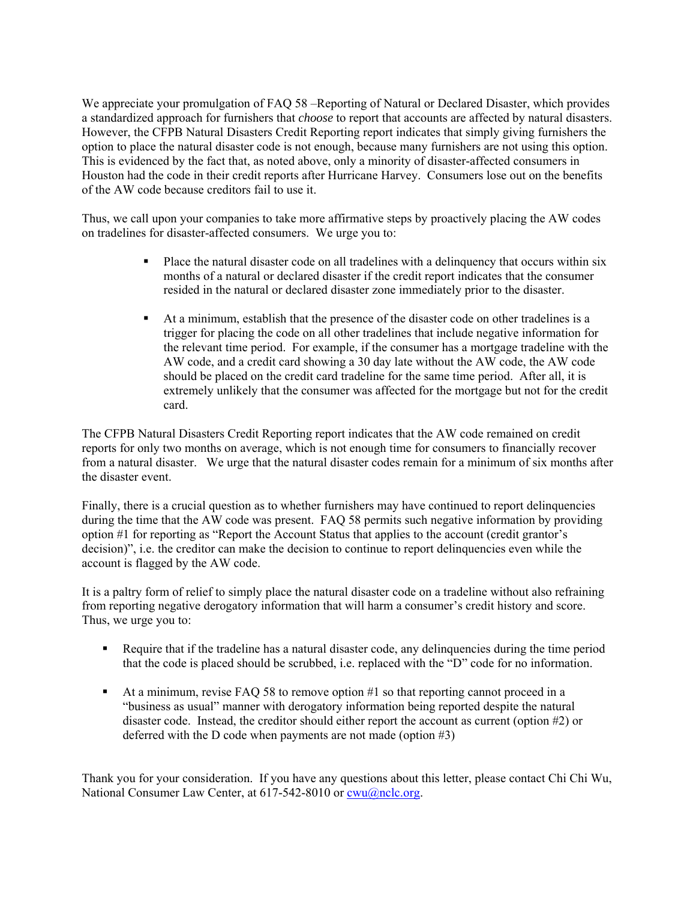We appreciate your promulgation of FAQ 58 –Reporting of Natural or Declared Disaster, which provides a standardized approach for furnishers that *choose* to report that accounts are affected by natural disasters. However, the CFPB Natural Disasters Credit Reporting report indicates that simply giving furnishers the option to place the natural disaster code is not enough, because many furnishers are not using this option. This is evidenced by the fact that, as noted above, only a minority of disaster-affected consumers in Houston had the code in their credit reports after Hurricane Harvey. Consumers lose out on the benefits of the AW code because creditors fail to use it.

Thus, we call upon your companies to take more affirmative steps by proactively placing the AW codes on tradelines for disaster-affected consumers. We urge you to:

- **Place the natural disaster code on all tradelines with a delinquency that occurs within six** months of a natural or declared disaster if the credit report indicates that the consumer resided in the natural or declared disaster zone immediately prior to the disaster.
- At a minimum, establish that the presence of the disaster code on other tradelines is a trigger for placing the code on all other tradelines that include negative information for the relevant time period. For example, if the consumer has a mortgage tradeline with the AW code, and a credit card showing a 30 day late without the AW code, the AW code should be placed on the credit card tradeline for the same time period. After all, it is extremely unlikely that the consumer was affected for the mortgage but not for the credit card.

The CFPB Natural Disasters Credit Reporting report indicates that the AW code remained on credit reports for only two months on average, which is not enough time for consumers to financially recover from a natural disaster. We urge that the natural disaster codes remain for a minimum of six months after the disaster event.

Finally, there is a crucial question as to whether furnishers may have continued to report delinquencies during the time that the AW code was present. FAQ 58 permits such negative information by providing option #1 for reporting as "Report the Account Status that applies to the account (credit grantor's decision)", i.e. the creditor can make the decision to continue to report delinquencies even while the account is flagged by the AW code.

It is a paltry form of relief to simply place the natural disaster code on a tradeline without also refraining from reporting negative derogatory information that will harm a consumer's credit history and score. Thus, we urge you to:

- Require that if the tradeline has a natural disaster code, any delinquencies during the time period that the code is placed should be scrubbed, i.e. replaced with the "D" code for no information.
- At a minimum, revise FAQ 58 to remove option  $#1$  so that reporting cannot proceed in a "business as usual" manner with derogatory information being reported despite the natural disaster code. Instead, the creditor should either report the account as current (option #2) or deferred with the D code when payments are not made (option #3)

Thank you for your consideration. If you have any questions about this letter, please contact Chi Chi Wu, National Consumer Law Center, at 617-542-8010 or cwu@nclc.org.